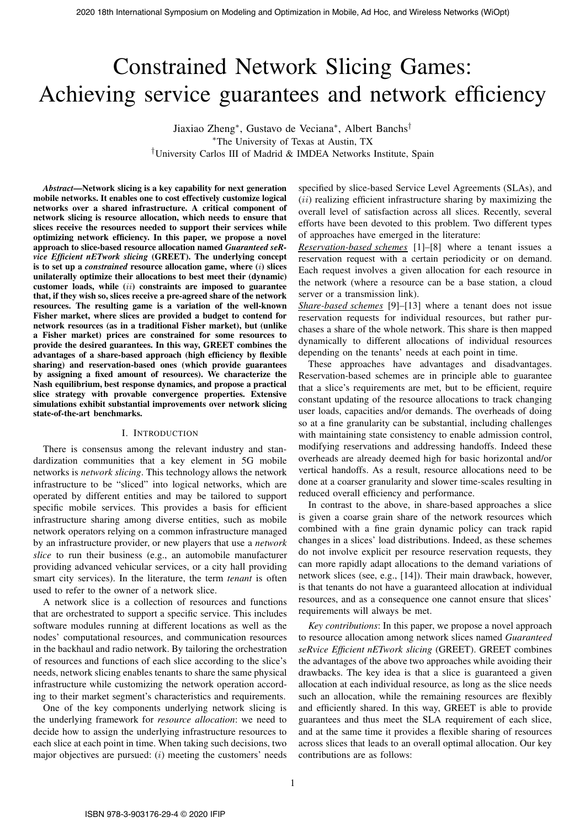# Constrained Network Slicing Games: Achieving service guarantees and network efficiency

Jiaxiao Zheng<sup>∗</sup> , Gustavo de Veciana<sup>∗</sup> , Albert Banchs† <sup>∗</sup>The University of Texas at Austin, TX †University Carlos III of Madrid & IMDEA Networks Institute, Spain

*Abstract*—Network slicing is a key capability for next generation mobile networks. It enables one to cost effectively customize logical networks over a shared infrastructure. A critical component of network slicing is resource allocation, which needs to ensure that slices receive the resources needed to support their services while optimizing network efficiency. In this paper, we propose a novel approach to slice-based resource allocation named *Guaranteed seRvice Efficient nETwork slicing* (GREET). The underlying concept is to set up a *constrained* resource allocation game, where (i) slices unilaterally optimize their allocations to best meet their (dynamic) customer loads, while  $(ii)$  constraints are imposed to guarantee that, if they wish so, slices receive a pre-agreed share of the network resources. The resulting game is a variation of the well-known Fisher market, where slices are provided a budget to contend for network resources (as in a traditional Fisher market), but (unlike a Fisher market) prices are constrained for some resources to provide the desired guarantees. In this way, GREET combines the advantages of a share-based approach (high efficiency by flexible sharing) and reservation-based ones (which provide guarantees by assigning a fixed amount of resources). We characterize the Nash equilibrium, best response dynamics, and propose a practical slice strategy with provable convergence properties. Extensive simulations exhibit substantial improvements over network slicing state-of-the-art benchmarks. 2020 18th International Symposium on Modeling and Commute in Modeling and The Commute international Symposium on Modeling and The Commute international Symposium on Modeling and The Commute international Symposium on Mode

#### I. INTRODUCTION

There is consensus among the relevant industry and standardization communities that a key element in 5G mobile networks is *network slicing*. This technology allows the network infrastructure to be "sliced" into logical networks, which are operated by different entities and may be tailored to support specific mobile services. This provides a basis for efficient infrastructure sharing among diverse entities, such as mobile network operators relying on a common infrastructure managed by an infrastructure provider, or new players that use a *network slice* to run their business (e.g., an automobile manufacturer providing advanced vehicular services, or a city hall providing smart city services). In the literature, the term *tenant* is often used to refer to the owner of a network slice.

A network slice is a collection of resources and functions that are orchestrated to support a specific service. This includes software modules running at different locations as well as the nodes' computational resources, and communication resources in the backhaul and radio network. By tailoring the orchestration of resources and functions of each slice according to the slice's needs, network slicing enables tenants to share the same physical infrastructure while customizing the network operation according to their market segment's characteristics and requirements.

One of the key components underlying network slicing is the underlying framework for *resource allocation*: we need to decide how to assign the underlying infrastructure resources to each slice at each point in time. When taking such decisions, two major objectives are pursued:  $(i)$  meeting the customers' needs specified by slice-based Service Level Agreements (SLAs), and  $(ii)$  realizing efficient infrastructure sharing by maximizing the overall level of satisfaction across all slices. Recently, several efforts have been devoted to this problem. Two different types of approaches have emerged in the literature:

*Reservation-based schemes* [1]–[8] where a tenant issues a reservation request with a certain periodicity or on demand. Each request involves a given allocation for each resource in the network (where a resource can be a base station, a cloud server or a transmission link).

*Share-based schemes* [9]–[13] where a tenant does not issue reservation requests for individual resources, but rather purchases a share of the whole network. This share is then mapped dynamically to different allocations of individual resources depending on the tenants' needs at each point in time.

These approaches have advantages and disadvantages. Reservation-based schemes are in principle able to guarantee that a slice's requirements are met, but to be efficient, require constant updating of the resource allocations to track changing user loads, capacities and/or demands. The overheads of doing so at a fine granularity can be substantial, including challenges with maintaining state consistency to enable admission control, modifying reservations and addressing handoffs. Indeed these overheads are already deemed high for basic horizontal and/or vertical handoffs. As a result, resource allocations need to be done at a coarser granularity and slower time-scales resulting in reduced overall efficiency and performance.

In contrast to the above, in share-based approaches a slice is given a coarse grain share of the network resources which combined with a fine grain dynamic policy can track rapid changes in a slices' load distributions. Indeed, as these schemes do not involve explicit per resource reservation requests, they can more rapidly adapt allocations to the demand variations of network slices (see, e.g., [14]). Their main drawback, however, is that tenants do not have a guaranteed allocation at individual resources, and as a consequence one cannot ensure that slices' requirements will always be met.

*Key contributions*: In this paper, we propose a novel approach to resource allocation among network slices named *Guaranteed seRvice Efficient nETwork slicing* (GREET). GREET combines the advantages of the above two approaches while avoiding their drawbacks. The key idea is that a slice is guaranteed a given allocation at each individual resource, as long as the slice needs such an allocation, while the remaining resources are flexibly and efficiently shared. In this way, GREET is able to provide guarantees and thus meet the SLA requirement of each slice, and at the same time it provides a flexible sharing of resources across slices that leads to an overall optimal allocation. Our key contributions are as follows: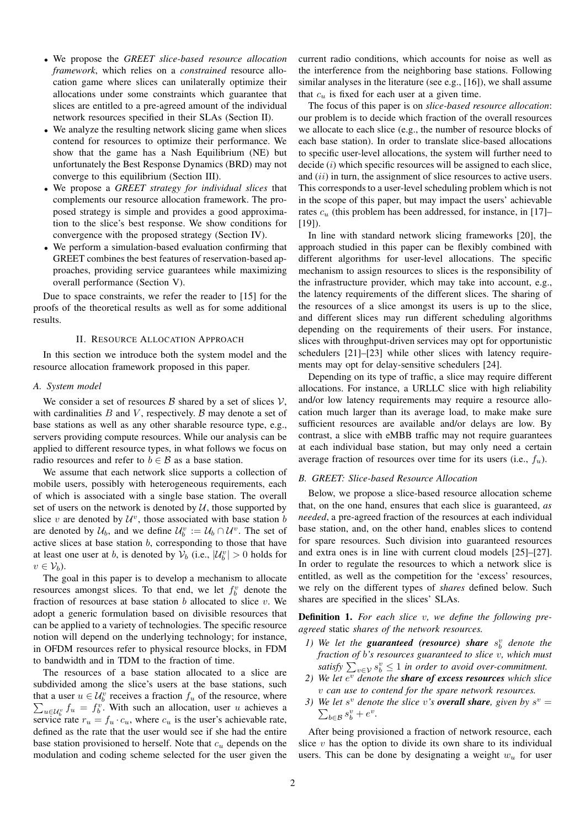- We propose the *GREET slice-based resource allocation framework*, which relies on a *constrained* resource allocation game where slices can unilaterally optimize their allocations under some constraints which guarantee that slices are entitled to a pre-agreed amount of the individual network resources specified in their SLAs (Section II).
- We analyze the resulting network slicing game when slices contend for resources to optimize their performance. We show that the game has a Nash Equilibrium (NE) but unfortunately the Best Response Dynamics (BRD) may not converge to this equilibrium (Section III).
- We propose a *GREET strategy for individual slices* that complements our resource allocation framework. The proposed strategy is simple and provides a good approximation to the slice's best response. We show conditions for convergence with the proposed strategy (Section IV).
- We perform a simulation-based evaluation confirming that GREET combines the best features of reservation-based approaches, providing service guarantees while maximizing overall performance (Section V).

Due to space constraints, we refer the reader to [15] for the proofs of the theoretical results as well as for some additional results.

# II. RESOURCE ALLOCATION APPROACH

In this section we introduce both the system model and the resource allocation framework proposed in this paper.

#### *A. System model*

We consider a set of resources  $\beta$  shared by a set of slices  $\mathcal{V}$ , with cardinalities  $B$  and  $V$ , respectively.  $B$  may denote a set of base stations as well as any other sharable resource type, e.g., servers providing compute resources. While our analysis can be applied to different resource types, in what follows we focus on radio resources and refer to  $b \in \mathcal{B}$  as a base station.

We assume that each network slice supports a collection of mobile users, possibly with heterogeneous requirements, each of which is associated with a single base station. The overall set of users on the network is denoted by  $U$ , those supported by slice v are denoted by  $\mathcal{U}^v$ , those associated with base station b are denoted by  $\mathcal{U}_b$ , and we define  $\mathcal{U}_b^v := \mathcal{U}_b \cap \mathcal{U}^v$ . The set of active slices at base station  $b$ , corresponding to those that have at least one user at *b*, is denoted by  $V_b$  (i.e.,  $|\mathcal{U}_b^v| > 0$  holds for  $v \in \mathcal{V}_b$ ).

The goal in this paper is to develop a mechanism to allocate resources amongst slices. To that end, we let  $f_b^v$  denote the fraction of resources at base station  $b$  allocated to slice  $v$ . We adopt a generic formulation based on divisible resources that can be applied to a variety of technologies. The specific resource notion will depend on the underlying technology; for instance, in OFDM resources refer to physical resource blocks, in FDM to bandwidth and in TDM to the fraction of time.

The resources of a base station allocated to a slice are subdivided among the slice's users at the base stations, such that a user  $u \in \mathcal{U}_b^v$  receives a fraction  $f_u$  of the resource, where  $\sum_{u \in \mathcal{U}_b^v} f_u = f_b^v$ . With such an allocation, user u achieves a service rate  $r_u = f_u \cdot c_u$ , where  $c_u$  is the user's achievable rate, defined as the rate that the user would see if she had the entire base station provisioned to herself. Note that  $c<sub>u</sub>$  depends on the modulation and coding scheme selected for the user given the current radio conditions, which accounts for noise as well as the interference from the neighboring base stations. Following similar analyses in the literature (see e.g., [16]), we shall assume that  $c_u$  is fixed for each user at a given time.

The focus of this paper is on *slice-based resource allocation*: our problem is to decide which fraction of the overall resources we allocate to each slice (e.g., the number of resource blocks of each base station). In order to translate slice-based allocations to specific user-level allocations, the system will further need to decide  $(i)$  which specific resources will be assigned to each slice, and  $(ii)$  in turn, the assignment of slice resources to active users. This corresponds to a user-level scheduling problem which is not in the scope of this paper, but may impact the users' achievable rates  $c<sub>u</sub>$  (this problem has been addressed, for instance, in [17]– [19]).

In line with standard network slicing frameworks [20], the approach studied in this paper can be flexibly combined with different algorithms for user-level allocations. The specific mechanism to assign resources to slices is the responsibility of the infrastructure provider, which may take into account, e.g., the latency requirements of the different slices. The sharing of the resources of a slice amongst its users is up to the slice, and different slices may run different scheduling algorithms depending on the requirements of their users. For instance, slices with throughput-driven services may opt for opportunistic schedulers [21]–[23] while other slices with latency requirements may opt for delay-sensitive schedulers [24].

Depending on its type of traffic, a slice may require different allocations. For instance, a URLLC slice with high reliability and/or low latency requirements may require a resource allocation much larger than its average load, to make make sure sufficient resources are available and/or delays are low. By contrast, a slice with eMBB traffic may not require guarantees at each individual base station, but may only need a certain average fraction of resources over time for its users (i.e.,  $f_u$ ).

# *B. GREET: Slice-based Resource Allocation*

Below, we propose a slice-based resource allocation scheme that, on the one hand, ensures that each slice is guaranteed, *as needed*, a pre-agreed fraction of the resources at each individual base station, and, on the other hand, enables slices to contend for spare resources. Such division into guaranteed resources and extra ones is in line with current cloud models [25]–[27]. In order to regulate the resources to which a network slice is entitled, as well as the competition for the 'excess' resources, we rely on the different types of *shares* defined below. Such shares are specified in the slices' SLAs.

Definition 1. *For each slice* v*, we define the following preagreed* static *shares of the network resources.*

- *1)* We let the **guaranteed** (resource) share  $s_b^v$  denote the *fraction of* b*'s resources guaranteed to slice* v*, which must* satisfy  $\sum_{v \in \mathcal{V}} s_b^v \leq 1$  in order to avoid over-commitment.
- 2) We let  $e^v$  *denote the share of excess resources which slice* v *can use to contend for the spare network resources.*
- 3) We let  $s^v$  denote the slice v's **overall share**, given by  $s^v =$  $\sum_{b \in \mathcal{B}} s_b^v + e^v$ .

After being provisioned a fraction of network resource, each slice  $v$  has the option to divide its own share to its individual users. This can be done by designating a weight  $w_u$  for user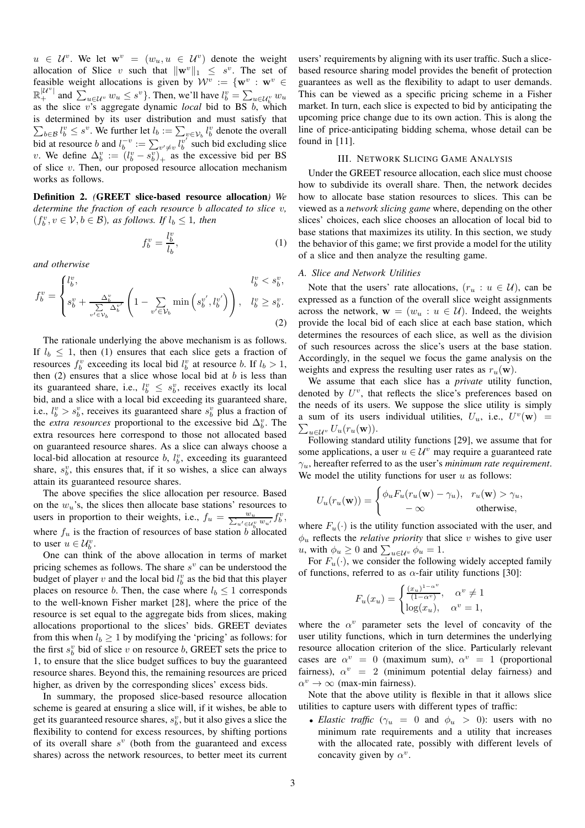$u \in \mathcal{U}^v$ . We let  $\mathbf{w}^v = (w_u, u \in \mathcal{U}^v)$  denote the weight allocation of Slice v such that  $\|\mathbf{w}^v\|_1 \leq s^v$ . The set of feasible weight allocations is given by  $\mathcal{W}^v := \{ \mathbf{w}^v : \mathbf{w}^v \in \mathcal{W}^v \}$  $\mathbb{R}^{|{\mathcal{U}^v}|}$  and  $\sum_{u \in {\mathcal{U}^v}} w_u \leq s^v$ . Then, we'll have  $l_b^v = \sum_{u \in {\mathcal{U}^v_b}} w_u$ as the slice v's aggregate dynamic *local* bid to BS b, which is determined by its user distribution and must satisfy that  $\sum_{b \in \mathcal{B}} l_b^v \leq s^v$ . We further let  $l_b := \sum_{v \in \mathcal{V}_b} l_b^v$  denote the overall bid at resource b and  $l_b^{-v} := \sum_{v' \neq v} l_b^{v'}$  such bid excluding slice v. We define  $\Delta_b^v := (l_b^v - s_b^v)_+$  as the excessive bid per BS of slice  $v$ . Then, our proposed resource allocation mechanism works as follows.

Definition 2. *(*GREET slice-based resource allocation*) We determine the fraction of each resource* b *allocated to slice* v*,*  $(f_b^v, v \in \mathcal{V}, b \in \mathcal{B})$ *, as follows. If*  $l_b \leq 1$ *, then* 

$$
f_b^v = \frac{l_b^v}{l_b},\tag{1}
$$

*and otherwise*

$$
f_b^v = \begin{cases} l_b^v, & l_b^v < s_b^v, \\ s_b^v + \frac{\Delta_b^v}{\sum\limits_{v' \in \mathcal{V}_b} \Delta_b^{v'}} \left( 1 - \sum\limits_{v' \in \mathcal{V}_b} \min\left(s_b^{v'}, l_b^{v'}\right) \right), & l_b^v \ge s_b^v. \end{cases}
$$
(2)

The rationale underlying the above mechanism is as follows. If  $l_b \leq 1$ , then (1) ensures that each slice gets a fraction of resources  $f_b^v$  exceeding its local bid  $l_b^v$  at resource b. If  $l_b > 1$ , then  $(2)$  ensures that a slice whose local bid at b is less than its guaranteed share, i.e.,  $l_b^v \leq s_b^v$ , receives exactly its local bid, and a slice with a local bid exceeding its guaranteed share, i.e.,  $l_b^v > s_b^v$ , receives its guaranteed share  $s_b^v$  plus a fraction of the *extra resources* proportional to the excessive bid  $\Delta_b^v$ . The extra resources here correspond to those not allocated based on guaranteed resource shares. As a slice can always choose a local-bid allocation at resource  $b$ ,  $l_b^v$ , exceeding its guaranteed share,  $s_b^v$ , this ensures that, if it so wishes, a slice can always attain its guaranteed resource shares.

The above specifies the slice allocation per resource. Based on the  $w_u$ 's, the slices then allocate base stations' resources to users in proportion to their weights, i.e.,  $f_u = \frac{w_u}{\sum_{u' \in \mathcal{U}_b^v} w_{u'}} f_b^v$ , where  $f_u$  is the fraction of resources of base station b allocated to user  $u \in \mathcal{U}_b^v$ .

One can think of the above allocation in terms of market pricing schemes as follows. The share  $s^v$  can be understood the budget of player v and the local bid  $l_b^v$  as the bid that this player places on resource b. Then, the case where  $l_b \leq 1$  corresponds to the well-known Fisher market [28], where the price of the resource is set equal to the aggregate bids from slices, making allocations proportional to the slices' bids. GREET deviates from this when  $l_b \geq 1$  by modifying the 'pricing' as follows: for the first  $s_b^v$  bid of slice v on resource b, GREET sets the price to 1, to ensure that the slice budget suffices to buy the guaranteed resource shares. Beyond this, the remaining resources are priced higher, as driven by the corresponding slices' excess bids.

In summary, the proposed slice-based resource allocation scheme is geared at ensuring a slice will, if it wishes, be able to get its guaranteed resource shares,  $s_b^v$ , but it also gives a slice the flexibility to contend for excess resources, by shifting portions of its overall share  $s^v$  (both from the guaranteed and excess shares) across the network resources, to better meet its current users' requirements by aligning with its user traffic. Such a slicebased resource sharing model provides the benefit of protection guarantees as well as the flexibility to adapt to user demands. This can be viewed as a specific pricing scheme in a Fisher market. In turn, each slice is expected to bid by anticipating the upcoming price change due to its own action. This is along the line of price-anticipating bidding schema, whose detail can be found in [11].

# III. NETWORK SLICING GAME ANALYSIS

Under the GREET resource allocation, each slice must choose how to subdivide its overall share. Then, the network decides how to allocate base station resources to slices. This can be viewed as a *network slicing game* where, depending on the other slices' choices, each slice chooses an allocation of local bid to base stations that maximizes its utility. In this section, we study the behavior of this game; we first provide a model for the utility of a slice and then analyze the resulting game.

#### *A. Slice and Network Utilities*

Note that the users' rate allocations,  $(r_u : u \in U)$ , can be expressed as a function of the overall slice weight assignments across the network,  $\mathbf{w} = (w_u : u \in \mathcal{U})$ . Indeed, the weights provide the local bid of each slice at each base station, which determines the resources of each slice, as well as the division of such resources across the slice's users at the base station. Accordingly, in the sequel we focus the game analysis on the weights and express the resulting user rates as  $r_u(\mathbf{w})$ .

We assume that each slice has a *private* utility function, denoted by  $U^v$ , that reflects the slice's preferences based on the needs of its users. We suppose the slice utility is simply a sum of its users individual utilities,  $U_u$ , i.e.,  $U^v(\mathbf{w})$  =  $\sum_{u\in\mathcal{U}^v} U_u(r_u(\mathbf{w})).$ 

Following standard utility functions [29], we assume that for some applications, a user  $u \in \mathcal{U}^v$  may require a guaranteed rate  $\gamma_u$ , hereafter referred to as the user's *minimum rate requirement*. We model the utility functions for user  $u$  as follows:

$$
U_u(r_u(\mathbf{w})) = \begin{cases} \phi_u F_u(r_u(\mathbf{w}) - \gamma_u), & r_u(\mathbf{w}) > \gamma_u, \\ -\infty & \text{otherwise,} \end{cases}
$$

where  $F_u(\cdot)$  is the utility function associated with the user, and  $\phi_u$  reflects the *relative priority* that slice v wishes to give user *u*, with  $\phi_u \ge 0$  and  $\sum_{u \in \mathcal{U}^v} \phi_u = 1$ .

For  $F_u(\cdot)$ , we consider the following widely accepted family of functions, referred to as  $\alpha$ -fair utility functions [30]:

$$
F_u(x_u) = \begin{cases} \frac{(x_u)^{1-\alpha^v}}{(1-\alpha^v)}, & \alpha^v \neq 1\\ \log(x_u), & \alpha^v = 1, \end{cases}
$$

where the  $\alpha^v$  parameter sets the level of concavity of the user utility functions, which in turn determines the underlying resource allocation criterion of the slice. Particularly relevant cases are  $\alpha^v = 0$  (maximum sum),  $\alpha^v = 1$  (proportional fairness),  $\alpha^v = 2$  (minimum potential delay fairness) and  $\alpha^v \to \infty$  (max-min fairness).

Note that the above utility is flexible in that it allows slice utilities to capture users with different types of traffic:

• *Elastic traffic* ( $\gamma_u = 0$  and  $\phi_u > 0$ ): users with no minimum rate requirements and a utility that increases with the allocated rate, possibly with different levels of concavity given by  $\alpha^v$ .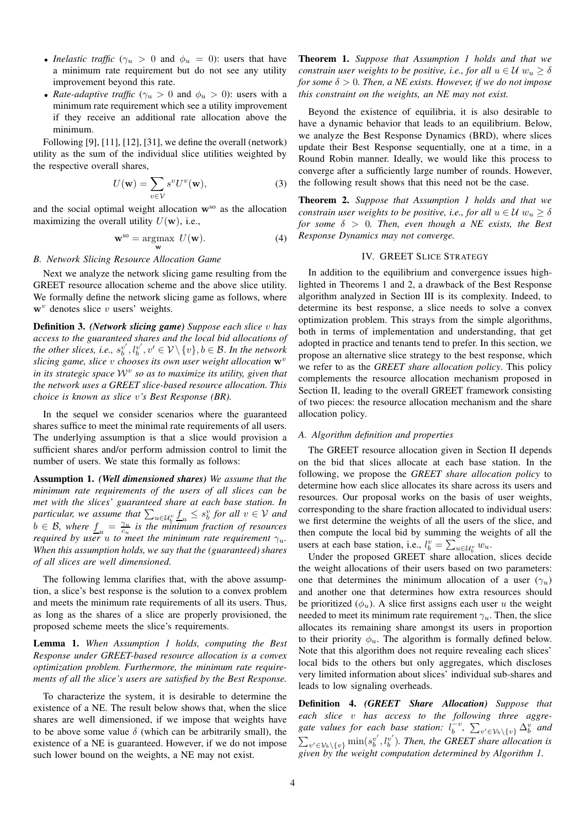- *Inelastic traffic* ( $\gamma_u > 0$  and  $\phi_u = 0$ ): users that have a minimum rate requirement but do not see any utility improvement beyond this rate.
- *Rate-adaptive traffic* ( $\gamma_u > 0$  and  $\phi_u > 0$ ): users with a minimum rate requirement which see a utility improvement if they receive an additional rate allocation above the minimum.

Following [9], [11], [12], [31], we define the overall (network) utility as the sum of the individual slice utilities weighted by the respective overall shares,

$$
U(\mathbf{w}) = \sum_{v \in \mathcal{V}} s^v U^v(\mathbf{w}),\tag{3}
$$

and the social optimal weight allocation  $w^{so}$  as the allocation maximizing the overall utility  $U(\mathbf{w})$ , i.e.,

$$
\mathbf{w}^{\text{so}} = \underset{\mathbf{w}}{\text{argmax}} \ U(\mathbf{w}). \tag{4}
$$

# *B. Network Slicing Resource Allocation Game*

Next we analyze the network slicing game resulting from the GREET resource allocation scheme and the above slice utility. We formally define the network slicing game as follows, where  $w<sup>v</sup>$  denotes slice v users' weights.

Definition 3. *(Network slicing game) Suppose each slice* v *has access to the guaranteed shares and the local bid allocations of* the other slices, i.e.,  $s_b^{v'}, l_b^{v'}, v' \in \mathcal{V} \setminus \{v\}, b \in \mathcal{B}$ . In the network *slicing game, slice v chooses its own user weight allocation*  $\mathbf{w}^v$ *in its strategic space* W<sup>v</sup> *so as to maximize its utility, given that the network uses a GREET slice-based resource allocation. This choice is known as slice* v*'s Best Response (BR).*

In the sequel we consider scenarios where the guaranteed shares suffice to meet the minimal rate requirements of all users. The underlying assumption is that a slice would provision a sufficient shares and/or perform admission control to limit the number of users. We state this formally as follows:

Assumption 1. *(Well dimensioned shares) We assume that the minimum rate requirements of the users of all slices can be met with the slices' guaranteed share at each base station. In*  $p$ articular, we assume that  $\sum_{u \in \mathcal{U}_b^v} \underline{f}_u \leq s_b^v$  for all  $v \in \mathcal{V}$  and  $b \in \mathcal{B}$ , where  $\underline{f}_u = \frac{\gamma_u}{c_u}$  is the minimum fraction of resources *required by user*  $u$  *to meet the minimum rate requirement*  $\gamma_u$ *. When this assumption holds, we say that the (guaranteed) shares of all slices are well dimensioned.*

The following lemma clarifies that, with the above assumption, a slice's best response is the solution to a convex problem and meets the minimum rate requirements of all its users. Thus, as long as the shares of a slice are properly provisioned, the proposed scheme meets the slice's requirements.

Lemma 1. *When Assumption 1 holds, computing the Best Response under GREET-based resource allocation is a convex optimization problem. Furthermore, the minimum rate requirements of all the slice's users are satisfied by the Best Response.*

To characterize the system, it is desirable to determine the existence of a NE. The result below shows that, when the slice shares are well dimensioned, if we impose that weights have to be above some value  $\delta$  (which can be arbitrarily small), the existence of a NE is guaranteed. However, if we do not impose such lower bound on the weights, a NE may not exist.

Theorem 1. *Suppose that Assumption 1 holds and that we constrain user weights to be positive, i.e., for all*  $u \in \mathcal{U}$   $w_u \geq \delta$ *for some*  $\delta > 0$ *. Then, a NE exists. However, if we do not impose this constraint on the weights, an NE may not exist.*

Beyond the existence of equilibria, it is also desirable to have a dynamic behavior that leads to an equilibrium. Below, we analyze the Best Response Dynamics (BRD), where slices update their Best Response sequentially, one at a time, in a Round Robin manner. Ideally, we would like this process to converge after a sufficiently large number of rounds. However, the following result shows that this need not be the case.

Theorem 2. *Suppose that Assumption 1 holds and that we constrain user weights to be positive, i.e., for all*  $u \in \mathcal{U}$   $w_u > \delta$ *for some*  $\delta > 0$ *. Then, even though a NE exists, the Best Response Dynamics may not converge.*

# IV. GREET SLICE STRATEGY

In addition to the equilibrium and convergence issues highlighted in Theorems 1 and 2, a drawback of the Best Response algorithm analyzed in Section III is its complexity. Indeed, to determine its best response, a slice needs to solve a convex optimization problem. This strays from the simple algorithms, both in terms of implementation and understanding, that get adopted in practice and tenants tend to prefer. In this section, we propose an alternative slice strategy to the best response, which we refer to as the *GREET share allocation policy*. This policy complements the resource allocation mechanism proposed in Section II, leading to the overall GREET framework consisting of two pieces: the resource allocation mechanism and the share allocation policy.

# *A. Algorithm definition and properties*

The GREET resource allocation given in Section II depends on the bid that slices allocate at each base station. In the following, we propose the *GREET share allocation policy* to determine how each slice allocates its share across its users and resources. Our proposal works on the basis of user weights, corresponding to the share fraction allocated to individual users: we first determine the weights of all the users of the slice, and then compute the local bid by summing the weights of all the users at each base station, i.e.,  $l_b^v = \sum_{u \in \mathcal{U}_b^v} w_u$ .

Under the proposed GREET share allocation, slices decide the weight allocations of their users based on two parameters: one that determines the minimum allocation of a user  $(\gamma_u)$ and another one that determines how extra resources should be prioritized  $(\phi_u)$ . A slice first assigns each user u the weight needed to meet its minimum rate requirement  $\gamma_u$ . Then, the slice allocates its remaining share amongst its users in proportion to their priority  $\phi_u$ . The algorithm is formally defined below. Note that this algorithm does not require revealing each slices' local bids to the others but only aggregates, which discloses very limited information about slices' individual sub-shares and leads to low signaling overheads.

Definition 4. *(GREET Share Allocation) Suppose that each slice* v *has access to the following three aggre*gate values for each base station:  $l_b^{\pm v}$ ,  $\sum_{v' \in \mathcal{V}_b \setminus \{v\}} \Delta_b^v$  and  $\sum_{v' \in \mathcal{V}_b \setminus \{v\}} \min(s_v^{v'}, l_b^{v'})$ . Then, the GREET share allocation is *given by the weight computation determined by Algorithm 1.*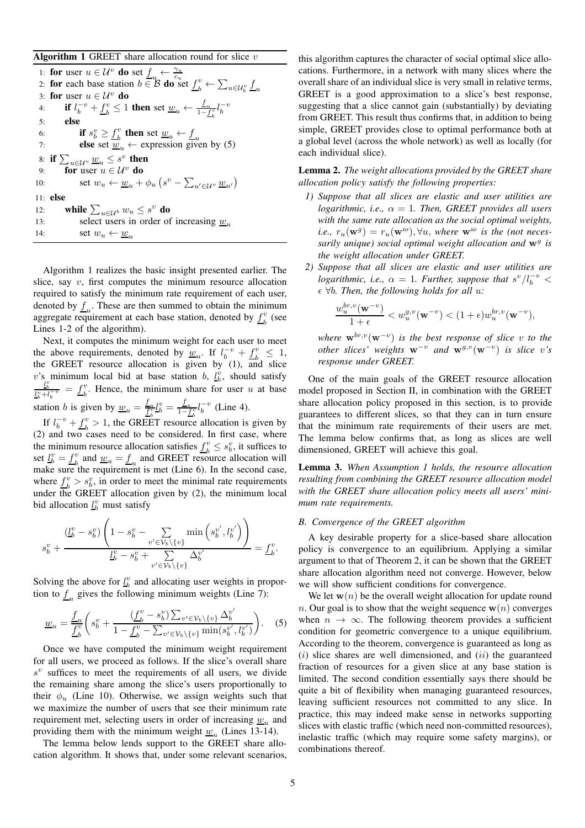Algorithm 1 GREET share allocation round for slice  $v$ 

1: for user  $u \in \mathcal{U}^v$  do set  $\underline{f}_u \leftarrow \frac{\gamma_u}{c_u}$ <br>2: for each base station  $b \in \mathcal{B}$  do set  $\underline{f}_b^v \leftarrow \sum_{u \in \mathcal{U}_b^v} \underline{f}_u$ 3: for user  $u \in \mathcal{U}^v$  do 4: **if**  $l_b^{-v} + \underline{f}_b^v$  $\frac{v}{b} \leq 1$  then set  $\underline{w}_u \leftarrow \frac{f_u}{1 - f_b^v} l_b^{-v}$ 5: else 6: if  $s_b^v \geq \underline{f}_b^v$ 6: **if**  $s_b^v \ge \underline{f}_b^v$  then set  $\underline{w}_u \leftarrow \underline{f}_u$ <br>
7: **else** set  $\underline{w}_u \leftarrow$  expression given by (5) 8: if  $\sum_{u\in\mathcal{U}^v}\underline{w}_u\leq s^v$  then 9: for user  $u \in \mathcal{U}^v$  do 10:  $\text{set } w_u \leftarrow \underline{w}_u + \phi_u \left( s^v - \sum_{u' \in \mathcal{U}^v} \underline{w}_{u'} \right)$ 11: else 12: while  $\sum_{u \in \mathcal{U}^b} w_u \leq s^v$  do 13: select users in order of increasing  $w_{\nu}$ 14: set  $w_u \leftarrow \underline{w}_u$ 

Algorithm 1 realizes the basic insight presented earlier. The slice, say  $v$ , first computes the minimum resource allocation required to satisfy the minimum rate requirement of each user, denoted by  $\underline{f}_u$ . These are then summed to obtain the minimum aggregate requirement at each base station, denoted by  $f_k^v$  $\frac{v}{b}$  (see Lines 1-2 of the algorithm).

Next, it computes the minimum weight for each user to meet the above requirements, denoted by  $\underline{w}_u$ . If  $l_b^{-v} + f_b^v$  $\frac{v}{b} \leq 1$ , the GREET resource allocation is given by (1), and slice v's minimum local bid at base station b,  $l_b^v$ , should satisfy  $\frac{l_b^v}{l_b^v + l_b^{-v}} = f_b^v$  $b<sub>b</sub>$ . Hence, the minimum share for user u at base station *b* is given by  $\underline{w}_u = \frac{f_u}{f_b^v} l_b^v = \frac{f_u}{1 - f_b^v} l_b^{-v}$  (Line 4).

If  $l_b^{-v} + \underline{f}_b^v$  $b<sup>v</sup> > 1$ , the GREET resource allocation is given by (2) and two cases need to be considered. In first case, where the minimum resource allocation satisfies  $\underline{f}_b^v \leq s_b^v$ , it suffices to set  $\underline{l}_b^v = \underline{f}_b^v$  and  $\underline{w}_u = \underline{f}_u$  and GREET reso  $\frac{v}{b}$  and  $\underline{w}_u = \underline{f}_u$  and GREET resource allocation will make sure the requirement is met (Line 6). In the second case, where  $f_k^v$  $b_b^v > s_b^v$ , in order to meet the minimal rate requirements under the GREET allocation given by  $(2)$ , the minimum local bid allocation  $\underline{l}_b^v$  must satisfy

$$
s_b^v + \frac{\left(\underline{L}_b^v - s_b^v\right)\left(1 - s_b^v - \sum_{v' \in \mathcal{V}_b \setminus \{v\}} \min\left(s_b^{v'}, l_b^{v'}\right)\right)}{\underline{L}_b^v - s_b^v + \sum_{v' \in \mathcal{V}_b \setminus \{v\}} \Delta_b^{v'}} = \underline{f}_b^v.
$$

Solving the above for  $\underline{l}_b^v$  and allocating user weights in proportion to  $\underline{f}_u$  gives the following minimum weights (Line 7):

$$
\underline{w}_{u} = \frac{f_{u}}{f_{b}^{v}} \left( s_{b}^{v} + \frac{(f_{b}^{v} - s_{b}^{v}) \sum_{v' \in \mathcal{V}_{b} \setminus \{v\}} \Delta_{b}^{v'}}{1 - f_{b}^{v} - \sum_{v' \in \mathcal{V}_{b} \setminus \{v\}} \min(s_{b}^{v'}, l_{b}^{v'})} \right).
$$
 (5)

Once we have computed the minimum weight requirement for all users, we proceed as follows. If the slice's overall share  $s^{v}$  suffices to meet the requirements of all users, we divide the remaining share among the slice's users proportionally to their  $\phi_u$  (Line 10). Otherwise, we assign weights such that we maximize the number of users that see their minimum rate requirement met, selecting users in order of increasing  $\underline{w}_u$  and providing them with the minimum weight  $\underline{w}_u$  (Lines 13-14).

The lemma below lends support to the GREET share allocation algorithm. It shows that, under some relevant scenarios, this algorithm captures the character of social optimal slice allocations. Furthermore, in a network with many slices where the overall share of an individual slice is very small in relative terms, GREET is a good approximation to a slice's best response, suggesting that a slice cannot gain (substantially) by deviating from GREET. This result thus confirms that, in addition to being simple, GREET provides close to optimal performance both at a global level (across the whole network) as well as locally (for each individual slice).

Lemma 2. *The weight allocations provided by the GREET share allocation policy satisfy the following properties:*

- *1) Suppose that all slices are elastic and user utilities are logarithmic, i.e.,*  $\alpha = 1$ *. Then, GREET provides all users with the same rate allocation as the social optimal weights,*  $i.e., r_u(\mathbf{w}^g) = r_u(\mathbf{w}^{so}), \forall u,$  where  $\mathbf{w}^{so}$  *is the (not neces*sarily unique) social optimal weight allocation and  $w<sup>g</sup>$  is *the weight allocation under GREET.*
- *2) Suppose that all slices are elastic and user utilities are logarithmic, i.e.,*  $\alpha = 1$ *. Further, suppose that*  $s^v/l_b^{-v} <$  $\epsilon \ \forall b$ *. Then, the following holds for all u:*

$$
\frac{w_u^{br,v}(\mathbf{w}^{-v})}{1+\epsilon} < w_u^{g,v}(\mathbf{w}^{-v}) < (1+\epsilon)w_u^{br,v}(\mathbf{w}^{-v}),
$$

 $where \mathbf{w}^{br,v}(\mathbf{w}^{-v})$  *is the best response of slice* v *to the other slices weights*  $w^{-v}$  *and*  $w^{g,v}(w^{-v})$  *is slice* v's *response under GREET.*

One of the main goals of the GREET resource allocation model proposed in Section II, in combination with the GREET share allocation policy proposed in this section, is to provide guarantees to different slices, so that they can in turn ensure that the minimum rate requirements of their users are met. The lemma below confirms that, as long as slices are well dimensioned, GREET will achieve this goal.

Lemma 3. *When Assumption 1 holds, the resource allocation resulting from combining the GREET resource allocation model with the GREET share allocation policy meets all users' minimum rate requirements.*

# *B. Convergence of the GREET algorithm*

A key desirable property for a slice-based share allocation policy is convergence to an equilibrium. Applying a similar argument to that of Theorem 2, it can be shown that the GREET share allocation algorithm need not converge. However, below we will show sufficient conditions for convergence.

We let  $w(n)$  be the overall weight allocation for update round n. Our goal is to show that the weight sequence  $w(n)$  converges when  $n \to \infty$ . The following theorem provides a sufficient condition for geometric convergence to a unique equilibrium. According to the theorem, convergence is guaranteed as long as  $(i)$  slice shares are well dimensioned, and  $(ii)$  the guaranteed fraction of resources for a given slice at any base station is limited. The second condition essentially says there should be quite a bit of flexibility when managing guaranteed resources, leaving sufficient resources not committed to any slice. In practice, this may indeed make sense in networks supporting slices with elastic traffic (which need non-committed resources), inelastic traffic (which may require some safety margins), or combinations thereof.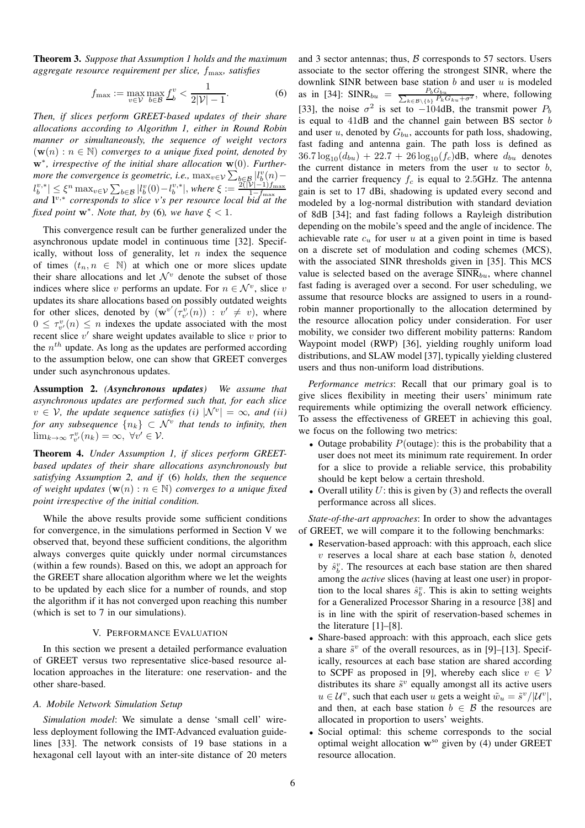Theorem 3. *Suppose that Assumption 1 holds and the maximum aggregate resource requirement per slice,* fmax*, satisfies*

$$
f_{\max} := \max_{v \in \mathcal{V}} \max_{b \in \mathcal{B}} \underline{f}_b^v < \frac{1}{2|\mathcal{V}| - 1}.\tag{6}
$$

*Then, if slices perform GREET-based updates of their share allocations according to Algorithm 1, either in Round Robin manner or simultaneously, the sequence of weight vectors*  $(\mathbf{w}(n) : n \in \mathbb{N})$  *converges to a unique fixed point, denoted by* w∗ *, irrespective of the initial share allocation* w(0). *Furthermore the convergence is geometric, i.e.,*  $\max_{v \in \mathcal{V}} \sum_{b \in \mathcal{B}} |l_b^v(n) |l^{v,*}_b|\leq \xi^n \max_{v\in\mathcal{V}}\sum_{b\in\mathcal{B}}|l^v_b(0)-l^{v,*}_b|,$  where  $\xi:=\frac{2(|\mathcal{V}|-1)f_{\max}}{1-f_{\max}}$  $\begin{array}{l} \mathcal{L}_{b} \mid \leq \mathcal{L}_{b} \text{ max}_{v \in V} \leq \mathcal{L}_{b \in \mathcal{B}} \mid \mathcal{C}_{b} \vee \mathcal{L}_{b} \mid, \text{ where } \mathcal{L}_{c} := \mathcal{L}_{b} \text{ max} \text{ and } \mathcal{L}_{v}, \text{ for } \mathcal{L}_{c} \text{ and } \mathcal{L}_{c} \text{ and } \mathcal{L}_{c} \text{ and } \mathcal{L}_{c} \text{ and } \mathcal{L}_{c} \text{ and } \mathcal{L}_{c} \text{ and } \mathcal{L}_{c} \text{ and } \mathcal{$ *fixed point*  $w^*$ *. Note that, by* (6)*, we have*  $\xi < 1$ *.* 

This convergence result can be further generalized under the asynchronous update model in continuous time [32]. Specifically, without loss of generality, let  $n$  index the sequence of times  $(t_n, n \in \mathbb{N})$  at which one or more slices update their share allocations and let  $\mathcal{N}^v$  denote the subset of those indices where slice v performs an update. For  $n \in \mathcal{N}^v$ , slice v updates its share allocations based on possibly outdated weights for other slices, denoted by  $(\mathbf{w}^{v'}(\tau_{v'}^{\hat{v}}(n)) : v' \neq v)$ , where  $0 \leq \tau_{v'}^v(n) \leq n$  indexes the update associated with the most recent slice  $v'$  share weight updates available to slice  $v$  prior to the  $n^{th}$  update. As long as the updates are performed according to the assumption below, one can show that GREET converges under such asynchronous updates.

Assumption 2. *(Asynchronous updates) We assume that asynchronous updates are performed such that, for each slice*  $v \in V$ , the update sequence satisfies (i)  $|N^v| = \infty$ , and (ii) for any subsequence  $\{n_k\} \subset \mathcal{N}^v$  that tends to infinity, then  $\lim_{k\to\infty}\tau_{v'}^v(n_k)=\infty, \ \forall v'\in\mathcal{V}.$ 

Theorem 4. *Under Assumption 1, if slices perform GREETbased updates of their share allocations asynchronously but satisfying Assumption 2, and if* (6) *holds, then the sequence of weight updates*  $(\mathbf{w}(n) : n \in \mathbb{N})$  *converges to a unique fixed point irrespective of the initial condition.*

While the above results provide some sufficient conditions for convergence, in the simulations performed in Section V we observed that, beyond these sufficient conditions, the algorithm always converges quite quickly under normal circumstances (within a few rounds). Based on this, we adopt an approach for the GREET share allocation algorithm where we let the weights to be updated by each slice for a number of rounds, and stop the algorithm if it has not converged upon reaching this number (which is set to 7 in our simulations).

#### V. PERFORMANCE EVALUATION

In this section we present a detailed performance evaluation of GREET versus two representative slice-based resource allocation approaches in the literature: one reservation- and the other share-based.

# *A. Mobile Network Simulation Setup*

*Simulation model*: We simulate a dense 'small cell' wireless deployment following the IMT-Advanced evaluation guidelines [33]. The network consists of 19 base stations in a hexagonal cell layout with an inter-site distance of 20 meters and 3 sector antennas; thus,  $\beta$  corresponds to 57 sectors. Users associate to the sector offering the strongest SINR, where the downlink SINR between base station  $b$  and user  $u$  is modeled as in [34]: SINR<sub>bu</sub> =  $\frac{P_b G_{bu}}{\sum_{k \in \mathcal{B} \setminus \{b\}} P_k G_{ku} + \sigma^2}$ , where, following [33], the noise  $\sigma^2$  is set to  $-104$ dB, the transmit power  $P_b$ is equal to 41dB and the channel gain between BS sector b and user  $u$ , denoted by  $G_{bu}$ , accounts for path loss, shadowing, fast fading and antenna gain. The path loss is defined as  $36.7 \log_{10}(d_{bu}) + 22.7 + 26 \log_{10}(f_c)$ dB, where  $d_{bu}$  denotes the current distance in meters from the user  $u$  to sector  $b$ , and the carrier frequency  $f_c$  is equal to 2.5GHz. The antenna gain is set to 17 dBi, shadowing is updated every second and modeled by a log-normal distribution with standard deviation of 8dB [34]; and fast fading follows a Rayleigh distribution depending on the mobile's speed and the angle of incidence. The achievable rate  $c<sub>u</sub>$  for user u at a given point in time is based on a discrete set of modulation and coding schemes (MCS), with the associated SINR thresholds given in [35]. This MCS value is selected based on the average  $\overline{\text{SINR}}_{bu}$ , where channel fast fading is averaged over a second. For user scheduling, we assume that resource blocks are assigned to users in a roundrobin manner proportionally to the allocation determined by the resource allocation policy under consideration. For user mobility, we consider two different mobility patterns: Random Waypoint model (RWP) [36], yielding roughly uniform load distributions, and SLAW model [37], typically yielding clustered users and thus non-uniform load distributions.

*Performance metrics*: Recall that our primary goal is to give slices flexibility in meeting their users' minimum rate requirements while optimizing the overall network efficiency. To assess the effectiveness of GREET in achieving this goal, we focus on the following two metrics:

- Outage probability  $P(\text{outage})$ : this is the probability that a user does not meet its minimum rate requirement. In order for a slice to provide a reliable service, this probability should be kept below a certain threshold.
- Overall utility  $U$ : this is given by (3) and reflects the overall performance across all slices.

*State-of-the-art approaches*: In order to show the advantages of GREET, we will compare it to the following benchmarks:

- Reservation-based approach: with this approach, each slice  $v$  reserves a local share at each base station  $b$ , denoted by  $\hat{s}_b^v$ . The resources at each base station are then shared among the *active* slices (having at least one user) in proportion to the local shares  $\hat{s}_b^v$ . This is akin to setting weights for a Generalized Processor Sharing in a resource [38] and is in line with the spirit of reservation-based schemes in the literature [1]–[8].
- Share-based approach: with this approach, each slice gets a share  $\tilde{s}^v$  of the overall resources, as in [9]-[13]. Specifically, resources at each base station are shared according to SCPF as proposed in [9], whereby each slice  $v \in V$ distributes its share  $\tilde{s}^v$  equally amongst all its active users  $u \in \mathcal{U}^v$ , such that each user u gets a weight  $\tilde{w}_u = \tilde{s}^v / |\mathcal{U}^v|$ , and then, at each base station  $b \in \mathcal{B}$  the resources are allocated in proportion to users' weights.
- Social optimal: this scheme corresponds to the social optimal weight allocation  $w^{so}$  given by (4) under GREET resource allocation.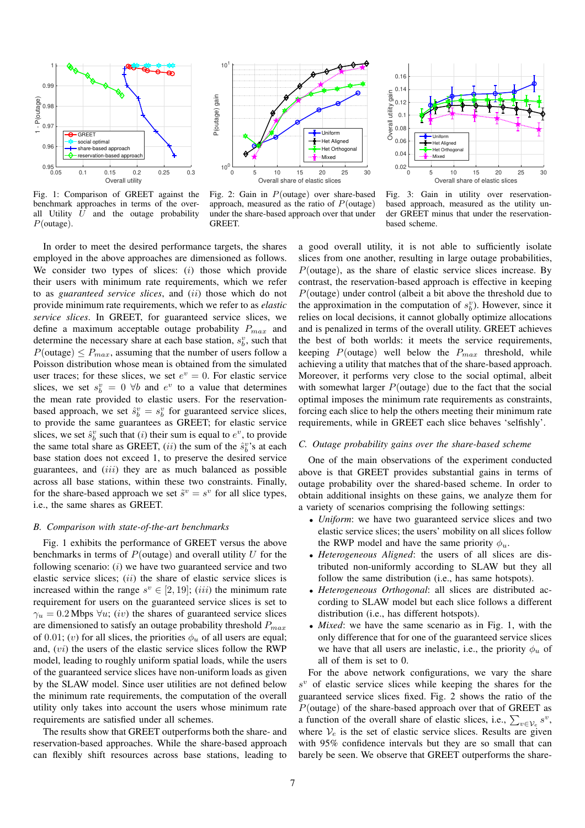

Fig. 1: Comparison of GREET against the benchmark approaches in terms of the overall Utility  $U$  and the outage probability P(outage).



Fig. 2: Gain in P(outage) over share-based approach, measured as the ratio of  $P$ (outage) under the share-based approach over that under **GREET** 



Fig. 3: Gain in utility over reservationbased approach, measured as the utility under GREET minus that under the reservationbased scheme.

In order to meet the desired performance targets, the shares employed in the above approaches are dimensioned as follows. We consider two types of slices:  $(i)$  those which provide their users with minimum rate requirements, which we refer to as *guaranteed service slices*, and (ii) those which do not provide minimum rate requirements, which we refer to as *elastic service slices*. In GREET, for guaranteed service slices, we define a maximum acceptable outage probability  $P_{max}$  and determine the necessary share at each base station,  $s_b^v$ , such that  $P(\text{outage}) \leq P_{max}$ , assuming that the number of users follow a Poisson distribution whose mean is obtained from the simulated user traces; for these slices, we set  $e^v = 0$ . For elastic service slices, we set  $s_b^v = 0 \ \forall b$  and  $e^v$  to a value that determines the mean rate provided to elastic users. For the reservationbased approach, we set  $\hat{s}_b^v = s_b^v$  for guaranteed service slices, to provide the same guarantees as GREET; for elastic service slices, we set  $\hat{s}_b^v$  such that (*i*) their sum is equal to  $e^v$ , to provide the same total share as GREET,  $(ii)$  the sum of the  $\hat{s}_b^v$ 's at each base station does not exceed 1, to preserve the desired service guarantees, and  $(iii)$  they are as much balanced as possible across all base stations, within these two constraints. Finally, for the share-based approach we set  $\tilde{s}^v = s^v$  for all slice types, i.e., the same shares as GREET.

# *B. Comparison with state-of-the-art benchmarks*

Fig. 1 exhibits the performance of GREET versus the above benchmarks in terms of  $P$ (outage) and overall utility  $U$  for the following scenario:  $(i)$  we have two guaranteed service and two elastic service slices;  $(ii)$  the share of elastic service slices is increased within the range  $s^v \in [2, 19]$ ;  $(iii)$  the minimum rate requirement for users on the guaranteed service slices is set to  $\gamma_u = 0.2$  Mbps  $\forall u$ ; (*iv*) the shares of guaranteed service slices are dimensioned to satisfy an outage probability threshold  $P_{max}$ of 0.01; (v) for all slices, the priorities  $\phi_u$  of all users are equal; and,  $(vi)$  the users of the elastic service slices follow the RWP model, leading to roughly uniform spatial loads, while the users of the guaranteed service slices have non-uniform loads as given by the SLAW model. Since user utilities are not defined below the minimum rate requirements, the computation of the overall utility only takes into account the users whose minimum rate requirements are satisfied under all schemes.

The results show that GREET outperforms both the share- and reservation-based approaches. While the share-based approach can flexibly shift resources across base stations, leading to

a good overall utility, it is not able to sufficiently isolate slices from one another, resulting in large outage probabilities,  $P$ (outage), as the share of elastic service slices increase. By contrast, the reservation-based approach is effective in keeping P(outage) under control (albeit a bit above the threshold due to the approximation in the computation of  $s_b^v$ ). However, since it relies on local decisions, it cannot globally optimize allocations and is penalized in terms of the overall utility. GREET achieves the best of both worlds: it meets the service requirements, keeping  $P(\text{outage})$  well below the  $P_{max}$  threshold, while achieving a utility that matches that of the share-based approach. Moreover, it performs very close to the social optimal, albeit with somewhat larger  $P$ (outage) due to the fact that the social optimal imposes the minimum rate requirements as constraints, forcing each slice to help the others meeting their minimum rate requirements, while in GREET each slice behaves 'selfishly'.

# *C. Outage probability gains over the share-based scheme*

One of the main observations of the experiment conducted above is that GREET provides substantial gains in terms of outage probability over the shared-based scheme. In order to obtain additional insights on these gains, we analyze them for a variety of scenarios comprising the following settings:

- *Uniform*: we have two guaranteed service slices and two elastic service slices; the users' mobility on all slices follow the RWP model and have the same priority  $\phi_u$ .
- *Heterogeneous Aligned*: the users of all slices are distributed non-uniformly according to SLAW but they all follow the same distribution (i.e., has same hotspots).
- *Heterogeneous Orthogonal*: all slices are distributed according to SLAW model but each slice follows a different distribution (i.e., has different hotspots).
- *Mixed*: we have the same scenario as in Fig. 1, with the only difference that for one of the guaranteed service slices we have that all users are inelastic, i.e., the priority  $\phi_u$  of all of them is set to 0.

For the above network configurations, we vary the share  $s^{v}$  of elastic service slices while keeping the shares for the guaranteed service slices fixed. Fig. 2 shows the ratio of the  $P$ (outage) of the share-based approach over that of GREET as a function of the overall share of elastic slices, i.e.,  $\sum_{v \in V_e} s^v$ , where  $V_e$  is the set of elastic service slices. Results are given with 95% confidence intervals but they are so small that can barely be seen. We observe that GREET outperforms the share